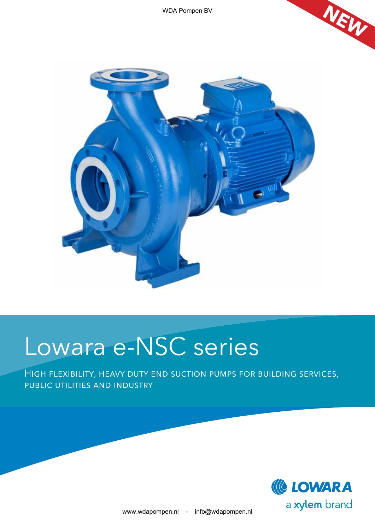WDA Pompen BV





# Lowara e-NSC series

High flexibility, heavy duty end suction pumps for building services, public utilities and industry

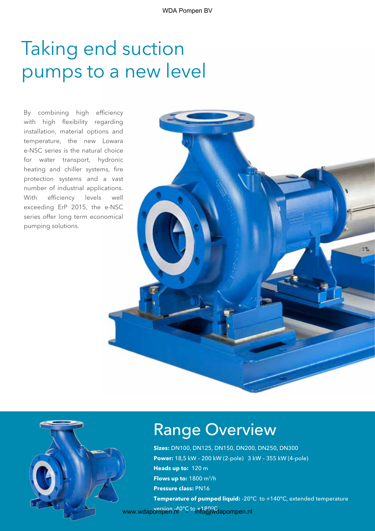## Taking end suction pumps to a new level

By combining high efficiency with high flexibility regarding installation, material options and temperature, the new Lowara e-NSC series is the natural choice for water transport, hydronic heating and chiller systems, fire protection systems and a vast number of industrial applications. With efficiency levels well exceeding ErP 2015, the e-NSC series offer long term economical pumping solutions.





## Range Overview

**Sizes:** DN100, DN125, DN150, DN200, DN250, DN300 **Power:** 18,5 kW – 200 kW (2-pole) 3 kW – 355 kW (4-pole) **Heads up to:** 120 m **Flows up to:** 1800 m3/h **Pressure class:** PN16 **Temperature of pumped liquid:** -20°C to +140°C, extended temperature www.wdapompen.nl<sup>o°C to</sup>.t180°C<br>www.wdapompen.nl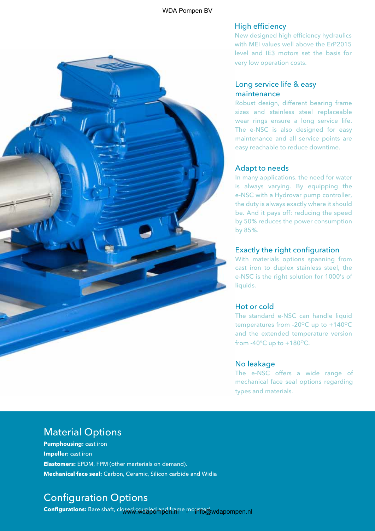

#### High efficiency

New designed high efficiency hydraulics with MEI values well above the ErP2015 level and IE3 motors set the basis for very low operation costs.

#### Long service life & easy maintenance

Robust design, different bearing frame sizes and stainless steel replaceable wear rings ensure a long service life. The e-NSC is also designed for easy maintenance and all service points are easy reachable to reduce downtime.

#### Adapt to needs

In many applications. the need for water is always varying. By equipping the e-NSC with a Hydrovar pump controller, the duty is always exactly where it should be. And it pays off: reducing the speed by 50% reduces the power consumption by 85%.

#### Exactly the right configuration

With materials options spanning from cast iron to duplex stainless steel, the e-NSC is the right solution for 1000's of liquids.

#### Hot or cold

The standard e-NSC can handle liquid temperatures from -20 $\mathrm{^{\circ}C}$  up to +140 $\mathrm{^{\circ}C}$ and the extended temperature version from -40 $^{\circ}$ C up to +180 $^{\circ}$ C.

#### No leakage

The e-NSC offers a wide range of mechanical face seal options regarding types and materials.

### Material Options

**Pumphousing:** cast iron **Impeller:** cast iron **Elastomers:** EPDM, FPM (other marterials on demand). **Mechanical face seal:** Carbon, Ceramic, Silicon carbide and Widia

### Configuration Options

**Configurations:** Bare shaft, closed cwupled apple.frame mo<sub>i</sub>nto@wdapompen.nl